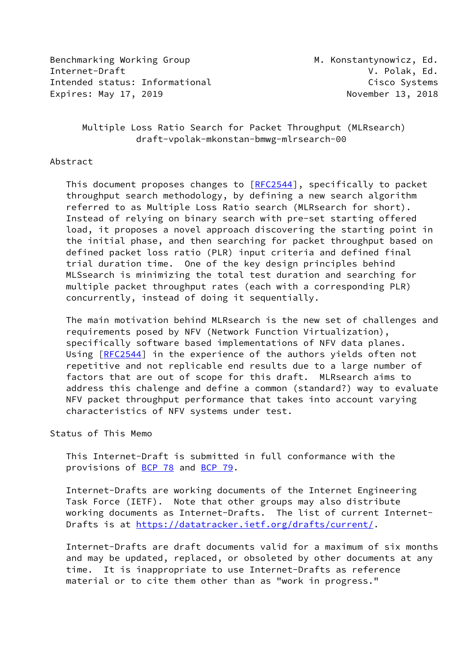Benchmarking Working Group Manuel M. Konstantynowicz, Ed. Internet-Draft V. Polak, Ed. Intended status: Informational example of the Cisco Systems Expires: May 17, 2019 **November 13, 2018** 

## Multiple Loss Ratio Search for Packet Throughput (MLRsearch) draft-vpolak-mkonstan-bmwg-mlrsearch-00

#### Abstract

This document proposes changes to [[RFC2544](https://datatracker.ietf.org/doc/pdf/rfc2544)], specifically to packet throughput search methodology, by defining a new search algorithm referred to as Multiple Loss Ratio search (MLRsearch for short). Instead of relying on binary search with pre-set starting offered load, it proposes a novel approach discovering the starting point in the initial phase, and then searching for packet throughput based on defined packet loss ratio (PLR) input criteria and defined final trial duration time. One of the key design principles behind MLSsearch is minimizing the total test duration and searching for multiple packet throughput rates (each with a corresponding PLR) concurrently, instead of doing it sequentially.

 The main motivation behind MLRsearch is the new set of challenges and requirements posed by NFV (Network Function Virtualization), specifically software based implementations of NFV data planes. Using [[RFC2544](https://datatracker.ietf.org/doc/pdf/rfc2544)] in the experience of the authors yields often not repetitive and not replicable end results due to a large number of factors that are out of scope for this draft. MLRsearch aims to address this chalenge and define a common (standard?) way to evaluate NFV packet throughput performance that takes into account varying characteristics of NFV systems under test.

#### Status of This Memo

 This Internet-Draft is submitted in full conformance with the provisions of <u>BCP 78</u> and <u>BCP 79</u>.

 Internet-Drafts are working documents of the Internet Engineering Task Force (IETF). Note that other groups may also distribute working documents as Internet-Drafts. The list of current Internet- Drafts is at<https://datatracker.ietf.org/drafts/current/>.

 Internet-Drafts are draft documents valid for a maximum of six months and may be updated, replaced, or obsoleted by other documents at any time. It is inappropriate to use Internet-Drafts as reference material or to cite them other than as "work in progress."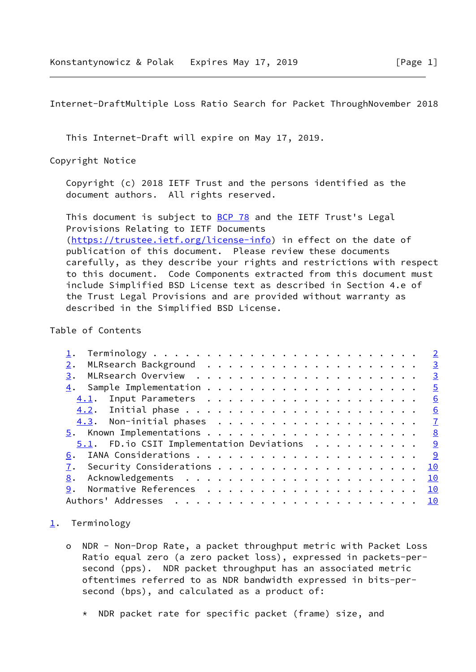<span id="page-1-1"></span>Internet-DraftMultiple Loss Ratio Search for Packet ThroughNovember 2018

This Internet-Draft will expire on May 17, 2019.

Copyright Notice

 Copyright (c) 2018 IETF Trust and the persons identified as the document authors. All rights reserved.

This document is subject to **[BCP 78](https://datatracker.ietf.org/doc/pdf/bcp78)** and the IETF Trust's Legal Provisions Relating to IETF Documents [\(https://trustee.ietf.org/license-info](https://trustee.ietf.org/license-info)) in effect on the date of publication of this document. Please review these documents carefully, as they describe your rights and restrictions with respect to this document. Code Components extracted from this document must include Simplified BSD License text as described in Section 4.e of the Trust Legal Provisions and are provided without warranty as described in the Simplified BSD License.

Table of Contents

|                                                             |  |  |  |  |  |  |  |  |  |  | <u>3</u>                |
|-------------------------------------------------------------|--|--|--|--|--|--|--|--|--|--|-------------------------|
| 3.                                                          |  |  |  |  |  |  |  |  |  |  | $\overline{\mathbf{3}}$ |
|                                                             |  |  |  |  |  |  |  |  |  |  | $\overline{5}$          |
|                                                             |  |  |  |  |  |  |  |  |  |  | 6                       |
|                                                             |  |  |  |  |  |  |  |  |  |  | 6                       |
|                                                             |  |  |  |  |  |  |  |  |  |  |                         |
|                                                             |  |  |  |  |  |  |  |  |  |  |                         |
| $\underline{5.1}$ . FD. io CSIT Implementation Deviations 9 |  |  |  |  |  |  |  |  |  |  |                         |
| 6.                                                          |  |  |  |  |  |  |  |  |  |  |                         |
|                                                             |  |  |  |  |  |  |  |  |  |  | 10                      |
| 8.                                                          |  |  |  |  |  |  |  |  |  |  | 10                      |
|                                                             |  |  |  |  |  |  |  |  |  |  | 10                      |
|                                                             |  |  |  |  |  |  |  |  |  |  |                         |

### <span id="page-1-0"></span>[1](#page-1-0). Terminology

- o NDR Non-Drop Rate, a packet throughput metric with Packet Loss Ratio equal zero (a zero packet loss), expressed in packets-per second (pps). NDR packet throughput has an associated metric oftentimes referred to as NDR bandwidth expressed in bits-per second (bps), and calculated as a product of:
	- \* NDR packet rate for specific packet (frame) size, and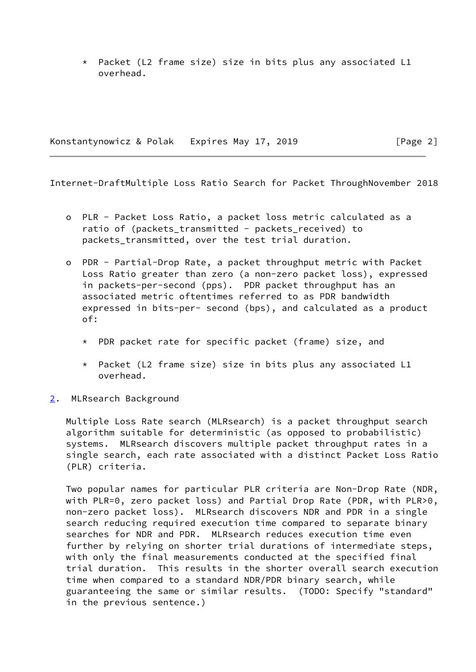\* Packet (L2 frame size) size in bits plus any associated L1 overhead.

Konstantynowicz & Polak Expires May 17, 2019 [Page 2]

<span id="page-2-1"></span>Internet-DraftMultiple Loss Ratio Search for Packet ThroughNovember 2018

- o PLR Packet Loss Ratio, a packet loss metric calculated as a ratio of (packets\_transmitted - packets\_received) to packets\_transmitted, over the test trial duration.
- o PDR Partial-Drop Rate, a packet throughput metric with Packet Loss Ratio greater than zero (a non-zero packet loss), expressed in packets-per-second (pps). PDR packet throughput has an associated metric oftentimes referred to as PDR bandwidth expressed in bits-per- second (bps), and calculated as a product of:
	- \* PDR packet rate for specific packet (frame) size, and
	- \* Packet (L2 frame size) size in bits plus any associated L1 overhead.
- <span id="page-2-0"></span>[2](#page-2-0). MLRsearch Background

 Multiple Loss Rate search (MLRsearch) is a packet throughput search algorithm suitable for deterministic (as opposed to probabilistic) systems. MLRsearch discovers multiple packet throughput rates in a single search, each rate associated with a distinct Packet Loss Ratio (PLR) criteria.

 Two popular names for particular PLR criteria are Non-Drop Rate (NDR, with PLR=0, zero packet loss) and Partial Drop Rate (PDR, with PLR>0, non-zero packet loss). MLRsearch discovers NDR and PDR in a single search reducing required execution time compared to separate binary searches for NDR and PDR. MLRsearch reduces execution time even further by relying on shorter trial durations of intermediate steps, with only the final measurements conducted at the specified final trial duration. This results in the shorter overall search execution time when compared to a standard NDR/PDR binary search, while guaranteeing the same or similar results. (TODO: Specify "standard" in the previous sentence.)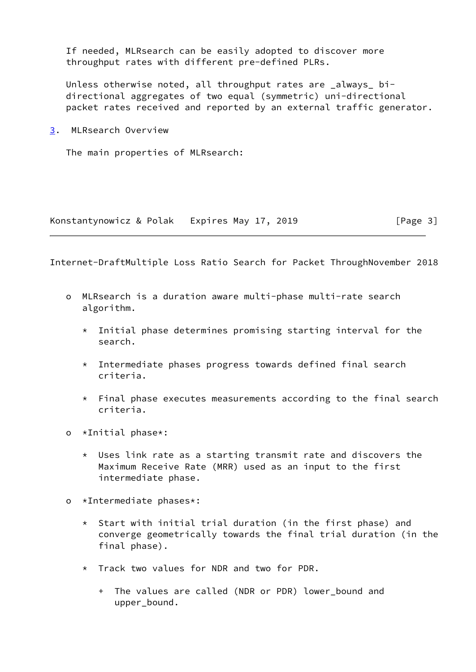If needed, MLRsearch can be easily adopted to discover more throughput rates with different pre-defined PLRs.

 Unless otherwise noted, all throughput rates are \_always\_ bi directional aggregates of two equal (symmetric) uni-directional packet rates received and reported by an external traffic generator.

<span id="page-3-0"></span>[3](#page-3-0). MLRsearch Overview

The main properties of MLRsearch:

Konstantynowicz & Polak Expires May 17, 2019 [Page 3]

Internet-DraftMultiple Loss Ratio Search for Packet ThroughNovember 2018

- o MLRsearch is a duration aware multi-phase multi-rate search algorithm.
	- $*$  Initial phase determines promising starting interval for the search.
	- \* Intermediate phases progress towards defined final search criteria.
	- $\star$  Final phase executes measurements according to the final search criteria.
- o \*Initial phase\*:
	- \* Uses link rate as a starting transmit rate and discovers the Maximum Receive Rate (MRR) used as an input to the first intermediate phase.
- o \*Intermediate phases\*:
	- \* Start with initial trial duration (in the first phase) and converge geometrically towards the final trial duration (in the final phase).
	- \* Track two values for NDR and two for PDR.
		- + The values are called (NDR or PDR) lower\_bound and upper\_bound.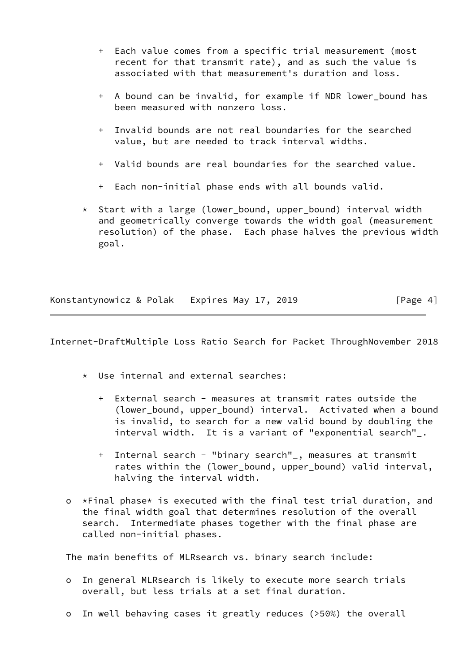- + Each value comes from a specific trial measurement (most recent for that transmit rate), and as such the value is associated with that measurement's duration and loss.
- + A bound can be invalid, for example if NDR lower\_bound has been measured with nonzero loss.
- + Invalid bounds are not real boundaries for the searched value, but are needed to track interval widths.
- + Valid bounds are real boundaries for the searched value.
- + Each non-initial phase ends with all bounds valid.
- \* Start with a large (lower\_bound, upper\_bound) interval width and geometrically converge towards the width goal (measurement resolution) of the phase. Each phase halves the previous width goal.

Konstantynowicz & Polak Expires May 17, 2019 [Page 4]

<span id="page-4-0"></span>Internet-DraftMultiple Loss Ratio Search for Packet ThroughNovember 2018

- \* Use internal and external searches:
	- + External search measures at transmit rates outside the (lower\_bound, upper\_bound) interval. Activated when a bound is invalid, to search for a new valid bound by doubling the interval width. It is a variant of "exponential search"\_.
	- + Internal search "binary search"\_, measures at transmit rates within the (lower\_bound, upper\_bound) valid interval, halving the interval width.
- o \*Final phase\* is executed with the final test trial duration, and the final width goal that determines resolution of the overall search. Intermediate phases together with the final phase are called non-initial phases.

The main benefits of MLRsearch vs. binary search include:

- o In general MLRsearch is likely to execute more search trials overall, but less trials at a set final duration.
- o In well behaving cases it greatly reduces (>50%) the overall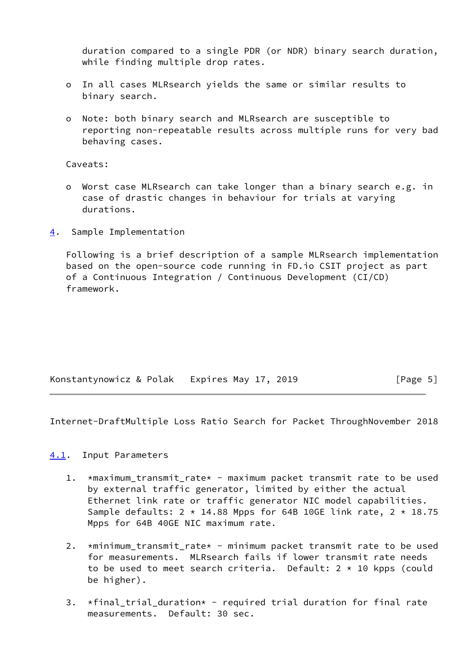duration compared to a single PDR (or NDR) binary search duration, while finding multiple drop rates.

- o In all cases MLRsearch yields the same or similar results to binary search.
- o Note: both binary search and MLRsearch are susceptible to reporting non-repeatable results across multiple runs for very bad behaving cases.

Caveats:

- o Worst case MLRsearch can take longer than a binary search e.g. in case of drastic changes in behaviour for trials at varying durations.
- <span id="page-5-0"></span>[4](#page-5-0). Sample Implementation

 Following is a brief description of a sample MLRsearch implementation based on the open-source code running in FD.io CSIT project as part of a Continuous Integration / Continuous Development (CI/CD) framework.

|  |  | Konstantynowicz & Polak Expires May 17, 2019 | [Page 5] |
|--|--|----------------------------------------------|----------|
|--|--|----------------------------------------------|----------|

<span id="page-5-2"></span>Internet-DraftMultiple Loss Ratio Search for Packet ThroughNovember 2018

### <span id="page-5-1"></span>[4.1](#page-5-1). Input Parameters

- 1. \*maximum\_transmit\_rate\* maximum packet transmit rate to be used by external traffic generator, limited by either the actual Ethernet link rate or traffic generator NIC model capabilities. Sample defaults:  $2 \times 14.88$  Mpps for 64B 10GE link rate,  $2 \times 18.75$ Mpps for 64B 40GE NIC maximum rate.
- 2. \*minimum\_transmit\_rate\* minimum packet transmit rate to be used for measurements. MLRsearch fails if lower transmit rate needs to be used to meet search criteria. Default:  $2 \times 10$  kpps (could be higher).
- 3. \*final\_trial\_duration\* required trial duration for final rate measurements. Default: 30 sec.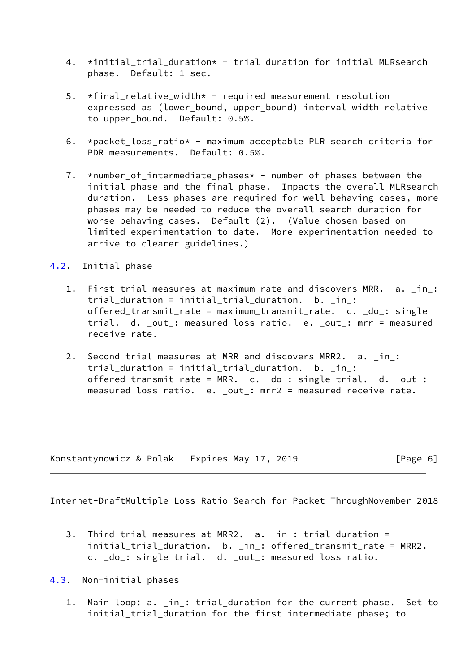- 4. \*initial\_trial\_duration\* trial duration for initial MLRsearch phase. Default: 1 sec.
- 5.  $\star$ final\_relative\_width $\star$  required measurement resolution expressed as (lower\_bound, upper\_bound) interval width relative to upper bound. Default: 0.5%.
- 6. \*packet\_loss\_ratio\* maximum acceptable PLR search criteria for PDR measurements. Default: 0.5%.
- 7. \*number\_of\_intermediate\_phases\* number of phases between the initial phase and the final phase. Impacts the overall MLRsearch duration. Less phases are required for well behaving cases, more phases may be needed to reduce the overall search duration for worse behaving cases. Default (2). (Value chosen based on limited experimentation to date. More experimentation needed to arrive to clearer guidelines.)

## <span id="page-6-0"></span>[4.2](#page-6-0). Initial phase

- 1. First trial measures at maximum rate and discovers MRR. a. \_in\_: trial duration = initial\_trial\_duration. b. \_in\_: offered\_transmit\_rate = maximum\_transmit\_rate. c. \_do\_: single trial. d. \_out\_: measured loss ratio. e. \_out\_: mrr = measured receive rate.
- 2. Second trial measures at MRR and discovers MRR2. a. \_in\_: trial\_duration = initial\_trial\_duration. b. \_in\_: offered\_transmit\_rate = MRR. c. \_do\_: single trial. d. \_out\_: measured loss ratio. e. \_out\_: mrr2 = measured receive rate.

Konstantynowicz & Polak Expires May 17, 2019 [Page 6]

<span id="page-6-2"></span>Internet-DraftMultiple Loss Ratio Search for Packet ThroughNovember 2018

 3. Third trial measures at MRR2. a. \_in\_: trial\_duration = initial\_trial\_duration. b. \_in\_: offered\_transmit\_rate = MRR2. c. \_do\_: single trial. d. \_out\_: measured loss ratio.

<span id="page-6-1"></span>[4.3](#page-6-1). Non-initial phases

 1. Main loop: a. \_in\_: trial\_duration for the current phase. Set to initial\_trial\_duration for the first intermediate phase; to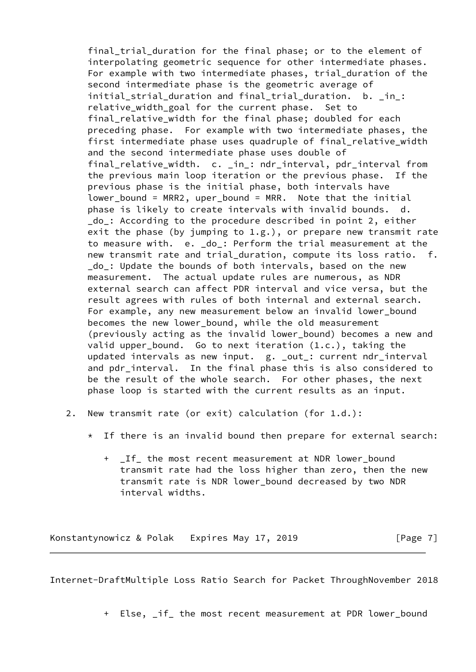final trial duration for the final phase; or to the element of interpolating geometric sequence for other intermediate phases. For example with two intermediate phases, trial duration of the second intermediate phase is the geometric average of initial strial duration and final trial duration. b. in : relative\_width\_goal for the current phase. Set to final relative width for the final phase; doubled for each preceding phase. For example with two intermediate phases, the first intermediate phase uses quadruple of final\_relative\_width and the second intermediate phase uses double of final\_relative\_width. c. \_in\_: ndr\_interval, pdr\_interval from the previous main loop iteration or the previous phase. If the previous phase is the initial phase, both intervals have lower\_bound = MRR2, uper\_bound = MRR. Note that the initial phase is likely to create intervals with invalid bounds. d. do : According to the procedure described in point 2, either exit the phase (by jumping to  $1.g.$ ), or prepare new transmit rate to measure with. e. \_do\_: Perform the trial measurement at the new transmit rate and trial duration, compute its loss ratio. f. \_do\_: Update the bounds of both intervals, based on the new measurement. The actual update rules are numerous, as NDR external search can affect PDR interval and vice versa, but the result agrees with rules of both internal and external search. For example, any new measurement below an invalid lower\_bound becomes the new lower\_bound, while the old measurement (previously acting as the invalid lower\_bound) becomes a new and valid upper\_bound. Go to next iteration (1.c.), taking the updated intervals as new input. g. \_out\_: current ndr\_interval and pdr\_interval. In the final phase this is also considered to be the result of the whole search. For other phases, the next phase loop is started with the current results as an input.

- 2. New transmit rate (or exit) calculation (for 1.d.):
	- \* If there is an invalid bound then prepare for external search:
		- + \_If\_ the most recent measurement at NDR lower\_bound transmit rate had the loss higher than zero, then the new transmit rate is NDR lower\_bound decreased by two NDR interval widths.

Konstantynowicz & Polak Expires May 17, 2019 [Page 7]

<span id="page-7-0"></span>Internet-DraftMultiple Loss Ratio Search for Packet ThroughNovember 2018

+ Else, \_if\_ the most recent measurement at PDR lower\_bound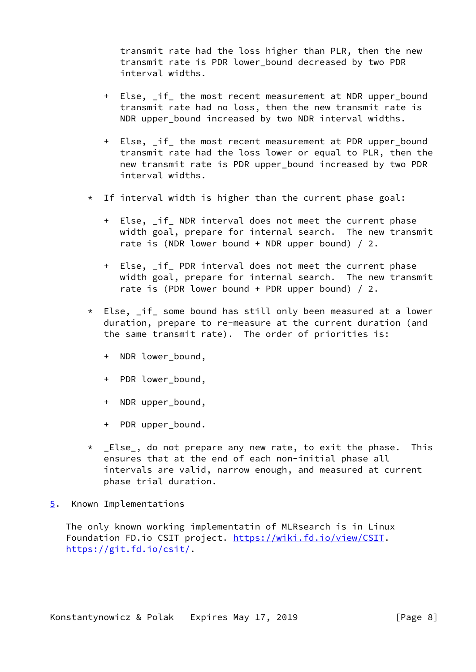transmit rate had the loss higher than PLR, then the new transmit rate is PDR lower\_bound decreased by two PDR interval widths.

- + Else, \_if\_ the most recent measurement at NDR upper\_bound transmit rate had no loss, then the new transmit rate is NDR upper bound increased by two NDR interval widths.
- + Else, \_if\_ the most recent measurement at PDR upper\_bound transmit rate had the loss lower or equal to PLR, then the new transmit rate is PDR upper\_bound increased by two PDR interval widths.
- \* If interval width is higher than the current phase goal:
	- + Else, if NDR interval does not meet the current phase width goal, prepare for internal search. The new transmit rate is (NDR lower bound + NDR upper bound)  $/2$ .
	- + Else, \_if\_ PDR interval does not meet the current phase width goal, prepare for internal search. The new transmit rate is (PDR lower bound + PDR upper bound)  $/2$ .
- \* Else, \_if\_ some bound has still only been measured at a lower duration, prepare to re-measure at the current duration (and the same transmit rate). The order of priorities is:
	- + NDR lower\_bound,
	- + PDR lower bound,
	- + NDR upper\_bound,
	- + PDR upper\_bound.
- \* \_Else\_, do not prepare any new rate, to exit the phase. This ensures that at the end of each non-initial phase all intervals are valid, narrow enough, and measured at current phase trial duration.
- <span id="page-8-0"></span>[5](#page-8-0). Known Implementations

 The only known working implementatin of MLRsearch is in Linux Foundation FD.io CSIT project. [https://wiki.fd.io/view/CSIT.](https://wiki.fd.io/view/CSIT) <https://git.fd.io/csit/>.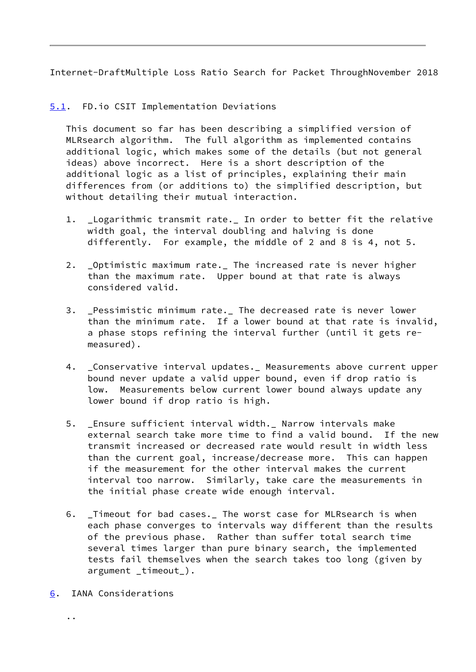<span id="page-9-1"></span>Internet-DraftMultiple Loss Ratio Search for Packet ThroughNovember 2018

# <span id="page-9-0"></span>[5.1](#page-9-0). FD.io CSIT Implementation Deviations

 This document so far has been describing a simplified version of MLRsearch algorithm. The full algorithm as implemented contains additional logic, which makes some of the details (but not general ideas) above incorrect. Here is a short description of the additional logic as a list of principles, explaining their main differences from (or additions to) the simplified description, but without detailing their mutual interaction.

- 1. \_Logarithmic transmit rate.\_ In order to better fit the relative width goal, the interval doubling and halving is done differently. For example, the middle of 2 and 8 is 4, not 5.
- 2. \_Optimistic maximum rate.\_ The increased rate is never higher than the maximum rate. Upper bound at that rate is always considered valid.
- 3. \_Pessimistic minimum rate.\_ The decreased rate is never lower than the minimum rate. If a lower bound at that rate is invalid, a phase stops refining the interval further (until it gets re measured).
- 4. \_Conservative interval updates.\_ Measurements above current upper bound never update a valid upper bound, even if drop ratio is low. Measurements below current lower bound always update any lower bound if drop ratio is high.
- 5. Ensure sufficient interval width.\_ Narrow intervals make external search take more time to find a valid bound. If the new transmit increased or decreased rate would result in width less than the current goal, increase/decrease more. This can happen if the measurement for the other interval makes the current interval too narrow. Similarly, take care the measurements in the initial phase create wide enough interval.
- 6. \_Timeout for bad cases.\_ The worst case for MLRsearch is when each phase converges to intervals way different than the results of the previous phase. Rather than suffer total search time several times larger than pure binary search, the implemented tests fail themselves when the search takes too long (given by argument \_timeout\_).
- <span id="page-9-2"></span>[6](#page-9-2). IANA Considerations

..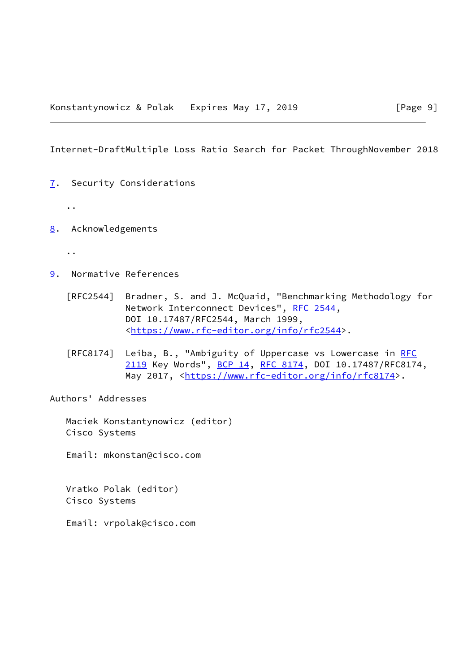<span id="page-10-1"></span>Internet-DraftMultiple Loss Ratio Search for Packet ThroughNovember 2018

- <span id="page-10-0"></span>[7](#page-10-0). Security Considerations
	- ..
- <span id="page-10-2"></span>[8](#page-10-2). Acknowledgements
	- ..
- <span id="page-10-3"></span>[9](#page-10-3). Normative References
	- [RFC2544] Bradner, S. and J. McQuaid, "Benchmarking Methodology for Network Interconnect Devices", [RFC 2544](https://datatracker.ietf.org/doc/pdf/rfc2544), DOI 10.17487/RFC2544, March 1999, <[https://www.rfc-editor.org/info/rfc2544>](https://www.rfc-editor.org/info/rfc2544).
	- [RFC8174] Leiba, B., "Ambiguity of Uppercase vs Lowercase in [RFC](https://datatracker.ietf.org/doc/pdf/rfc2119) [2119](https://datatracker.ietf.org/doc/pdf/rfc2119) Key Words", [BCP 14](https://datatracker.ietf.org/doc/pdf/bcp14), [RFC 8174,](https://datatracker.ietf.org/doc/pdf/rfc8174) DOI 10.17487/RFC8174, May 2017, [<https://www.rfc-editor.org/info/rfc8174](https://www.rfc-editor.org/info/rfc8174)>.

Authors' Addresses

 Maciek Konstantynowicz (editor) Cisco Systems

Email: mkonstan@cisco.com

 Vratko Polak (editor) Cisco Systems

Email: vrpolak@cisco.com